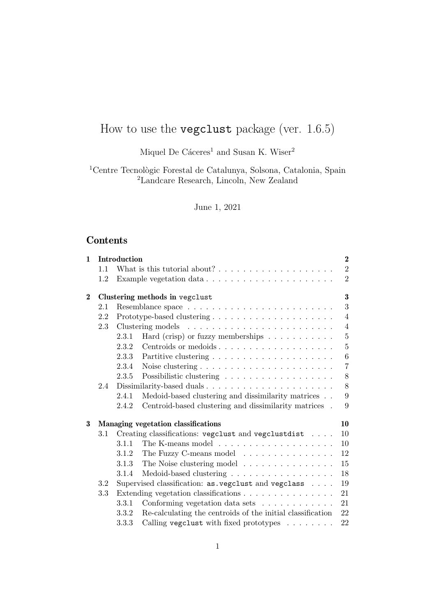# How to use the vegclust package (ver. 1.6.5)

Miquel De Cáceres<sup>1</sup> and Susan K. Wiser<sup>2</sup>

<sup>1</sup>Centre Tecnològic Forestal de Catalunya, Solsona, Catalonia, Spain <sup>2</sup>Landcare Research, Lincoln, New Zealand

# June 1, 2021

# Contents

| $\mathbf{1}$ | Introduction                                                 |                                            |                                                                     |                |  |  |  |  |  |  |
|--------------|--------------------------------------------------------------|--------------------------------------------|---------------------------------------------------------------------|----------------|--|--|--|--|--|--|
|              | 1.1                                                          |                                            |                                                                     | $\overline{2}$ |  |  |  |  |  |  |
|              | 1.2                                                          |                                            | Example vegetation data                                             | $\overline{2}$ |  |  |  |  |  |  |
| $\bf{2}$     |                                                              | $\bf{3}$<br>Clustering methods in vegclust |                                                                     |                |  |  |  |  |  |  |
|              | 2.1                                                          | 3                                          |                                                                     |                |  |  |  |  |  |  |
|              | 2.2                                                          |                                            | $\overline{4}$                                                      |                |  |  |  |  |  |  |
|              | 2.3                                                          | $\overline{4}$                             |                                                                     |                |  |  |  |  |  |  |
|              |                                                              | 2.3.1                                      | Hard (crisp) or fuzzy memberships $\ldots \ldots \ldots \ldots$     | $\overline{5}$ |  |  |  |  |  |  |
|              |                                                              | 2.3.2                                      | Centroids or medoids                                                | $\overline{5}$ |  |  |  |  |  |  |
|              |                                                              | 2.3.3                                      |                                                                     | 6              |  |  |  |  |  |  |
|              |                                                              | 2.3.4                                      | Noise clustering $\dots \dots \dots \dots \dots \dots \dots \dots$  | $\overline{7}$ |  |  |  |  |  |  |
|              |                                                              | 2.3.5                                      |                                                                     | 8              |  |  |  |  |  |  |
|              | 2.4                                                          | 8                                          |                                                                     |                |  |  |  |  |  |  |
|              |                                                              | 2.4.1                                      | Medoid-based clustering and dissimilarity matrices                  | 9              |  |  |  |  |  |  |
|              |                                                              | 2.4.2                                      | Centroid-based clustering and dissimilarity matrices .              | 9              |  |  |  |  |  |  |
| 3            | Managing vegetation classifications<br>10                    |                                            |                                                                     |                |  |  |  |  |  |  |
|              | Creating classifications: vegclust and vegclustdist<br>3.1   |                                            |                                                                     |                |  |  |  |  |  |  |
|              |                                                              | 3.1.1                                      | The K-means model $\ldots \ldots \ldots \ldots \ldots \ldots$       | 10             |  |  |  |  |  |  |
|              |                                                              | 3.1.2                                      | The Fuzzy C-means model                                             | 12             |  |  |  |  |  |  |
|              |                                                              | 3.1.3                                      | The Noise clustering model                                          | 15             |  |  |  |  |  |  |
|              |                                                              | 3.1.4                                      | Medoid-based clustering $\ldots \ldots \ldots \ldots \ldots \ldots$ | 18             |  |  |  |  |  |  |
|              | 3.2                                                          |                                            | Supervised classification: as vegclust and vegclass                 | 19             |  |  |  |  |  |  |
|              | 3.3                                                          | Extending vegetation classifications<br>21 |                                                                     |                |  |  |  |  |  |  |
|              | Conforming vegetation data sets $\dots \dots \dots$<br>3.3.1 |                                            |                                                                     |                |  |  |  |  |  |  |
|              |                                                              | 3.3.2                                      | Re-calculating the centroids of the initial classification          | 21<br>22       |  |  |  |  |  |  |
|              |                                                              | 3.3.3                                      | Calling vegclust with fixed prototypes                              | 22             |  |  |  |  |  |  |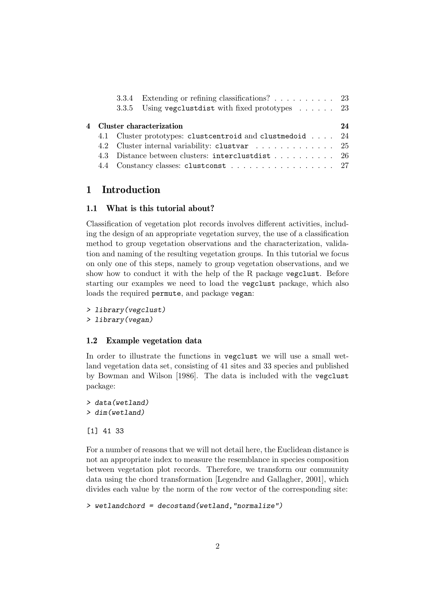|  |                                                                                                             | 3.3.4 Extending or refining classifications? 23            |    |  |  |  |
|--|-------------------------------------------------------------------------------------------------------------|------------------------------------------------------------|----|--|--|--|
|  |                                                                                                             | 3.3.5 Using vegclustdist with fixed prototypes $\ldots$ 23 |    |  |  |  |
|  |                                                                                                             | 4 Cluster characterization                                 | 24 |  |  |  |
|  |                                                                                                             |                                                            |    |  |  |  |
|  | 4.1 Cluster prototypes: clustcentroid and clust medoid  24<br>4.2 Cluster internal variability: clustvar 25 |                                                            |    |  |  |  |
|  |                                                                                                             | 4.3 Distance between clusters: interclustdist 26           |    |  |  |  |
|  |                                                                                                             | 4.4 Constancy classes: clustconst 27                       |    |  |  |  |

# 1 Introduction

# 1.1 What is this tutorial about?

Classification of vegetation plot records involves different activities, including the design of an appropriate vegetation survey, the use of a classification method to group vegetation observations and the characterization, validation and naming of the resulting vegetation groups. In this tutorial we focus on only one of this steps, namely to group vegetation observations, and we show how to conduct it with the help of the R package vegclust. Before starting our examples we need to load the vegclust package, which also loads the required permute, and package vegan:

> library(vegclust) > library(vegan)

# 1.2 Example vegetation data

In order to illustrate the functions in vegclust we will use a small wetland vegetation data set, consisting of 41 sites and 33 species and published by Bowman and Wilson [1986]. The data is included with the vegclust package:

> data(wetland) > dim(wetland)

[1] 41 33

For a number of reasons that we will not detail here, the Euclidean distance is not an appropriate index to measure the resemblance in species composition between vegetation plot records. Therefore, we transform our community data using the chord transformation [Legendre and Gallagher, 2001], which divides each value by the norm of the row vector of the corresponding site:

```
> wetlandchord = decostand(wetland,"normalize")
```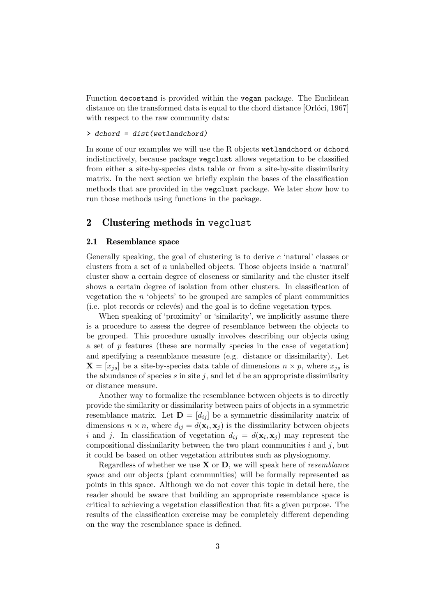Function decostand is provided within the vegan package. The Euclidean distance on the transformed data is equal to the chord distance  $[Orlóci, 1967]$ with respect to the raw community data:

# > dchord = dist(wetlandchord)

In some of our examples we will use the R objects wetlandchord or dchord indistinctively, because package vegclust allows vegetation to be classified from either a site-by-species data table or from a site-by-site dissimilarity matrix. In the next section we briefly explain the bases of the classification methods that are provided in the vegclust package. We later show how to run those methods using functions in the package.

# 2 Clustering methods in vegclust

### 2.1 Resemblance space

Generally speaking, the goal of clustering is to derive c 'natural' classes or clusters from a set of n unlabelled objects. Those objects inside a 'natural' cluster show a certain degree of closeness or similarity and the cluster itself shows a certain degree of isolation from other clusters. In classification of vegetation the  $n$  'objects' to be grouped are samples of plant communities (i.e. plot records or relevés) and the goal is to define vegetation types.

When speaking of 'proximity' or 'similarity', we implicitly assume there is a procedure to assess the degree of resemblance between the objects to be grouped. This procedure usually involves describing our objects using a set of p features (these are normally species in the case of vegetation) and specifying a resemblance measure (e.g. distance or dissimilarity). Let  $\mathbf{X} = [x_{js}]$  be a site-by-species data table of dimensions  $n \times p$ , where  $x_{js}$  is the abundance of species s in site j, and let  $d$  be an appropriate dissimilarity or distance measure.

Another way to formalize the resemblance between objects is to directly provide the similarity or dissimilarity between pairs of objects in a symmetric resemblance matrix. Let  $\mathbf{D} = [d_{ij}]$  be a symmetric dissimilarity matrix of dimensions  $n \times n$ , where  $d_{ij} = d(\mathbf{x}_i, \mathbf{x}_j)$  is the dissimilarity between objects i and j. In classification of vegetation  $d_{ij} = d(\mathbf{x}_i, \mathbf{x}_j)$  may represent the compositional dissimilarity between the two plant communities  $i$  and  $j$ , but it could be based on other vegetation attributes such as physiognomy.

Regardless of whether we use  $X$  or  $D$ , we will speak here of *resemblance* space and our objects (plant communities) will be formally represented as points in this space. Although we do not cover this topic in detail here, the reader should be aware that building an appropriate resemblance space is critical to achieving a vegetation classification that fits a given purpose. The results of the classification exercise may be completely different depending on the way the resemblance space is defined.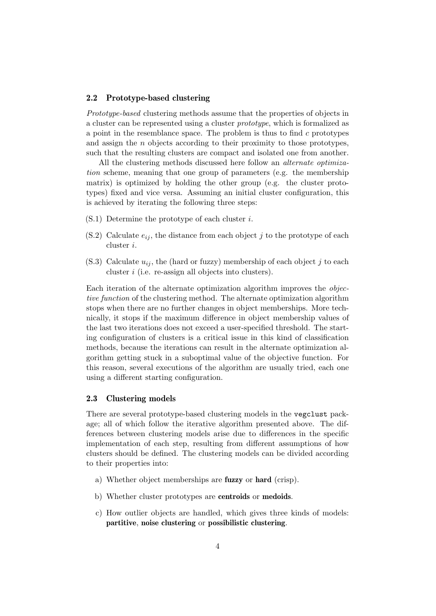### 2.2 Prototype-based clustering

Prototype-based clustering methods assume that the properties of objects in a cluster can be represented using a cluster prototype, which is formalized as a point in the resemblance space. The problem is thus to find  $c$  prototypes and assign the n objects according to their proximity to those prototypes, such that the resulting clusters are compact and isolated one from another.

All the clustering methods discussed here follow an alternate optimization scheme, meaning that one group of parameters (e.g. the membership matrix) is optimized by holding the other group (e.g. the cluster prototypes) fixed and vice versa. Assuming an initial cluster configuration, this is achieved by iterating the following three steps:

- $(S.1)$  Determine the prototype of each cluster *i*.
- (S.2) Calculate  $e_{ij}$ , the distance from each object j to the prototype of each cluster i.
- (S.3) Calculate  $u_{ij}$ , the (hard or fuzzy) membership of each object j to each cluster i (i.e. re-assign all objects into clusters).

Each iteration of the alternate optimization algorithm improves the objective function of the clustering method. The alternate optimization algorithm stops when there are no further changes in object memberships. More technically, it stops if the maximum difference in object membership values of the last two iterations does not exceed a user-specified threshold. The starting configuration of clusters is a critical issue in this kind of classification methods, because the iterations can result in the alternate optimization algorithm getting stuck in a suboptimal value of the objective function. For this reason, several executions of the algorithm are usually tried, each one using a different starting configuration.

### 2.3 Clustering models

There are several prototype-based clustering models in the vegclust package; all of which follow the iterative algorithm presented above. The differences between clustering models arise due to differences in the specific implementation of each step, resulting from different assumptions of how clusters should be defined. The clustering models can be divided according to their properties into:

- a) Whether object memberships are fuzzy or hard (crisp).
- b) Whether cluster prototypes are **centroids** or **medoids**.
- c) How outlier objects are handled, which gives three kinds of models: partitive, noise clustering or possibilistic clustering.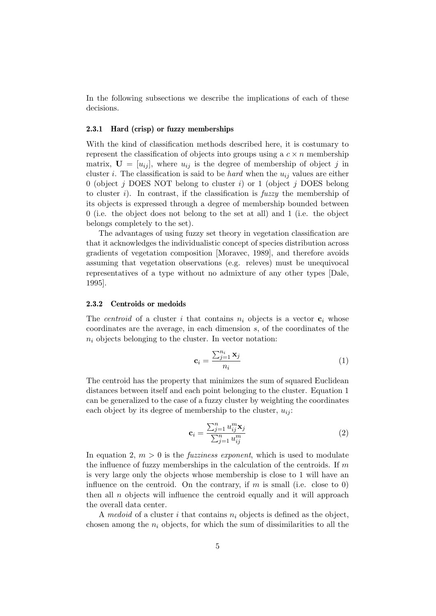In the following subsections we describe the implications of each of these decisions.

#### 2.3.1 Hard (crisp) or fuzzy memberships

With the kind of classification methods described here, it is costumary to represent the classification of objects into groups using a  $c \times n$  membership matrix,  $\mathbf{U} = [u_{ij}]$ , where  $u_{ij}$  is the degree of membership of object j in cluster i. The classification is said to be *hard* when the  $u_{ij}$  values are either 0 (object  $j$  DOES NOT belong to cluster  $i$ ) or 1 (object  $j$  DOES belong to cluster i). In contrast, if the classification is  $fuzzy$  the membership of its objects is expressed through a degree of membership bounded between 0 (i.e. the object does not belong to the set at all) and 1 (i.e. the object belongs completely to the set).

The advantages of using fuzzy set theory in vegetation classification are that it acknowledges the individualistic concept of species distribution across gradients of vegetation composition [Moravec, 1989], and therefore avoids assuming that vegetation observations (e.g. releves) must be unequivocal representatives of a type without no admixture of any other types [Dale, 1995].

#### 2.3.2 Centroids or medoids

The *centroid* of a cluster i that contains  $n_i$  objects is a vector  $c_i$  whose coordinates are the average, in each dimension s, of the coordinates of the  $n_i$  objects belonging to the cluster. In vector notation:

$$
\mathbf{c}_{i} = \frac{\sum_{j=1}^{n_{i}} \mathbf{x}_{j}}{n_{i}} \tag{1}
$$

The centroid has the property that minimizes the sum of squared Euclidean distances between itself and each point belonging to the cluster. Equation 1 can be generalized to the case of a fuzzy cluster by weighting the coordinates each object by its degree of membership to the cluster,  $u_{ij}$ :

$$
\mathbf{c}_{i} = \frac{\sum_{j=1}^{n} u_{ij}^{m} \mathbf{x}_{j}}{\sum_{j=1}^{n} u_{ij}^{m}}
$$
(2)

In equation 2,  $m > 0$  is the *fuzziness exponent*, which is used to modulate the influence of fuzzy memberships in the calculation of the centroids. If  $m$ is very large only the objects whose membership is close to 1 will have an influence on the centroid. On the contrary, if  $m$  is small (i.e. close to 0) then all  $n$  objects will influence the centroid equally and it will approach the overall data center.

A medoid of a cluster i that contains  $n_i$  objects is defined as the object, chosen among the  $n_i$  objects, for which the sum of dissimilarities to all the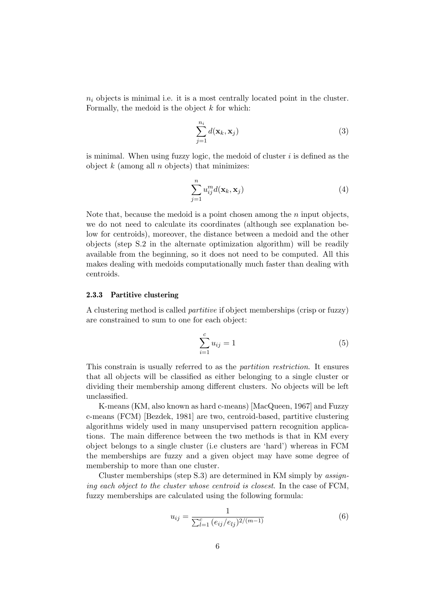$n_i$  objects is minimal i.e. it is a most centrally located point in the cluster. Formally, the medoid is the object  $k$  for which:

$$
\sum_{j=1}^{n_i} d(\mathbf{x}_k, \mathbf{x}_j)
$$
\n(3)

is minimal. When using fuzzy logic, the medoid of cluster  $i$  is defined as the object  $k$  (among all  $n$  objects) that minimizes:

$$
\sum_{j=1}^{n} u_{ij}^{m} d(\mathbf{x}_{k}, \mathbf{x}_{j})
$$
\n(4)

Note that, because the medoid is a point chosen among the  $n$  input objects, we do not need to calculate its coordinates (although see explanation below for centroids), moreover, the distance between a medoid and the other objects (step S.2 in the alternate optimization algorithm) will be readily available from the beginning, so it does not need to be computed. All this makes dealing with medoids computationally much faster than dealing with centroids.

#### 2.3.3 Partitive clustering

A clustering method is called partitive if object memberships (crisp or fuzzy) are constrained to sum to one for each object:

$$
\sum_{i=1}^{c} u_{ij} = 1
$$
 (5)

This constrain is usually referred to as the partition restriction. It ensures that all objects will be classified as either belonging to a single cluster or dividing their membership among different clusters. No objects will be left unclassified.

K-means (KM, also known as hard c-means) [MacQueen, 1967] and Fuzzy c-means (FCM) [Bezdek, 1981] are two, centroid-based, partitive clustering algorithms widely used in many unsupervised pattern recognition applications. The main difference between the two methods is that in KM every object belongs to a single cluster (i.e clusters are 'hard') whereas in FCM the memberships are fuzzy and a given object may have some degree of membership to more than one cluster.

Cluster memberships (step S.3) are determined in KM simply by assigning each object to the cluster whose centroid is closest. In the case of FCM, fuzzy memberships are calculated using the following formula:

$$
u_{ij} = \frac{1}{\sum_{l=1}^{c} (e_{ij}/e_{lj})^{2/(m-1)}}\tag{6}
$$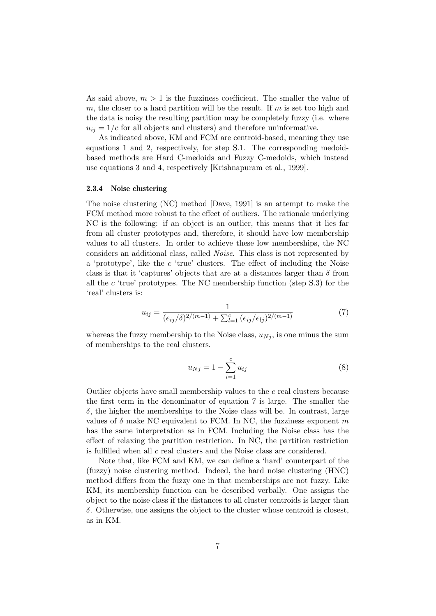As said above,  $m > 1$  is the fuzziness coefficient. The smaller the value of m, the closer to a hard partition will be the result. If m is set too high and the data is noisy the resulting partition may be completely fuzzy (i.e. where  $u_{ij} = 1/c$  for all objects and clusters) and therefore uninformative.

As indicated above, KM and FCM are centroid-based, meaning they use equations 1 and 2, respectively, for step S.1. The corresponding medoidbased methods are Hard C-medoids and Fuzzy C-medoids, which instead use equations 3 and 4, respectively [Krishnapuram et al., 1999].

# 2.3.4 Noise clustering

The noise clustering (NC) method [Dave, 1991] is an attempt to make the FCM method more robust to the effect of outliers. The rationale underlying NC is the following: if an object is an outlier, this means that it lies far from all cluster prototypes and, therefore, it should have low membership values to all clusters. In order to achieve these low memberships, the NC considers an additional class, called Noise. This class is not represented by a 'prototype', like the c 'true' clusters. The effect of including the Noise class is that it 'captures' objects that are at a distances larger than  $\delta$  from all the c 'true' prototypes. The NC membership function (step S.3) for the 'real' clusters is:

$$
u_{ij} = \frac{1}{(e_{ij}/\delta)^{2/(m-1)} + \sum_{l=1}^{c} (e_{ij}/e_{lj})^{2/(m-1)}}
$$
(7)

whereas the fuzzy membership to the Noise class,  $u_{Nj}$ , is one minus the sum of memberships to the real clusters.

$$
u_{Nj} = 1 - \sum_{i=1}^{c} u_{ij}
$$
 (8)

Outlier objects have small membership values to the  $c$  real clusters because the first term in the denominator of equation 7 is large. The smaller the  $\delta$ , the higher the memberships to the Noise class will be. In contrast, large values of  $\delta$  make NC equivalent to FCM. In NC, the fuzziness exponent m has the same interpretation as in FCM. Including the Noise class has the effect of relaxing the partition restriction. In NC, the partition restriction is fulfilled when all c real clusters and the Noise class are considered.

Note that, like FCM and KM, we can define a 'hard' counterpart of the (fuzzy) noise clustering method. Indeed, the hard noise clustering (HNC) method differs from the fuzzy one in that memberships are not fuzzy. Like KM, its membership function can be described verbally. One assigns the object to the noise class if the distances to all cluster centroids is larger than δ. Otherwise, one assigns the object to the cluster whose centroid is closest, as in KM.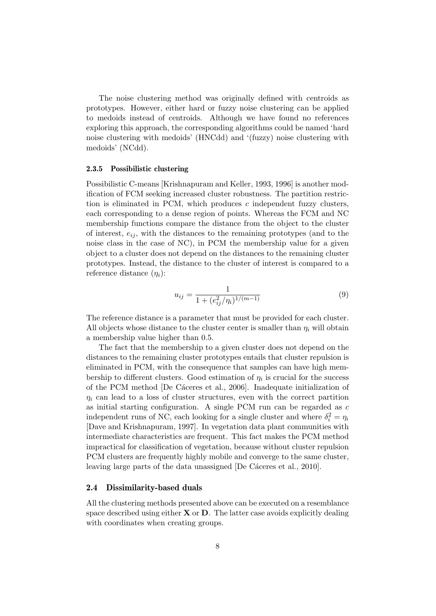The noise clustering method was originally defined with centroids as prototypes. However, either hard or fuzzy noise clustering can be applied to medoids instead of centroids. Although we have found no references exploring this approach, the corresponding algorithms could be named 'hard noise clustering with medoids' (HNCdd) and '(fuzzy) noise clustering with medoids' (NCdd).

#### 2.3.5 Possibilistic clustering

Possibilistic C-means [Krishnapuram and Keller, 1993, 1996] is another modification of FCM seeking increased cluster robustness. The partition restriction is eliminated in PCM, which produces  $c$  independent fuzzy clusters, each corresponding to a dense region of points. Whereas the FCM and NC membership functions compare the distance from the object to the cluster of interest,  $e_{ij}$ , with the distances to the remaining prototypes (and to the noise class in the case of NC), in PCM the membership value for a given object to a cluster does not depend on the distances to the remaining cluster prototypes. Instead, the distance to the cluster of interest is compared to a reference distance  $(\eta_i)$ :

$$
u_{ij} = \frac{1}{1 + (e_{ij}^2/\eta_i)^{1/(m-1)}}\tag{9}
$$

The reference distance is a parameter that must be provided for each cluster. All objects whose distance to the cluster center is smaller than  $\eta_i$  will obtain a membership value higher than 0.5.

The fact that the membership to a given cluster does not depend on the distances to the remaining cluster prototypes entails that cluster repulsion is eliminated in PCM, with the consequence that samples can have high membership to different clusters. Good estimation of  $\eta_i$  is crucial for the success of the PCM method [De Cáceres et al., 2006]. Inadequate initialization of  $\eta_i$  can lead to a loss of cluster structures, even with the correct partition as initial starting configuration. A single PCM run can be regarded as c independent runs of NC, each looking for a single cluster and where  $\delta_i^2 = \eta_i$ [Dave and Krishnapuram, 1997]. In vegetation data plant communities with intermediate characteristics are frequent. This fact makes the PCM method impractical for classification of vegetation, because without cluster repulsion PCM clusters are frequently highly mobile and converge to the same cluster, leaving large parts of the data unassigned [De Cáceres et al., 2010].

#### 2.4 Dissimilarity-based duals

All the clustering methods presented above can be executed on a resemblance space described using either  $X$  or  $D$ . The latter case avoids explicitly dealing with coordinates when creating groups.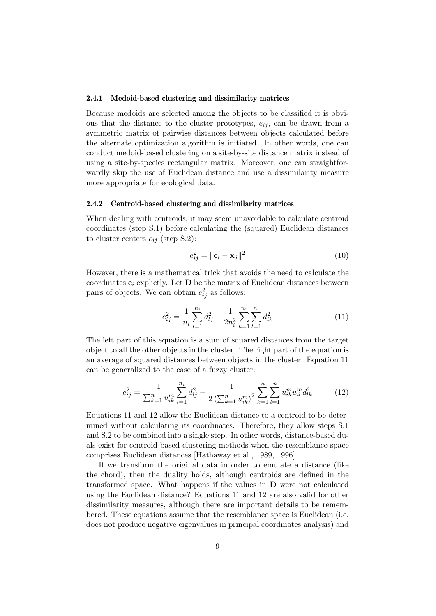#### 2.4.1 Medoid-based clustering and dissimilarity matrices

Because medoids are selected among the objects to be classified it is obvious that the distance to the cluster prototypes,  $e_{ij}$ , can be drawn from a symmetric matrix of pairwise distances between objects calculated before the alternate optimization algorithm is initiated. In other words, one can conduct medoid-based clustering on a site-by-site distance matrix instead of using a site-by-species rectangular matrix. Moreover, one can straightforwardly skip the use of Euclidean distance and use a dissimilarity measure more appropriate for ecological data.

### 2.4.2 Centroid-based clustering and dissimilarity matrices

When dealing with centroids, it may seem unavoidable to calculate centroid coordinates (step S.1) before calculating the (squared) Euclidean distances to cluster centers  $e_{ij}$  (step S.2):

$$
e_{ij}^2 = \|\mathbf{c}_i - \mathbf{x}_j\|^2 \tag{10}
$$

However, there is a mathematical trick that avoids the need to calculate the coordinates  $c_i$  explictly. Let **D** be the matrix of Euclidean distances between pairs of objects. We can obtain  $e_{ij}^2$  as follows:

$$
e_{ij}^2 = \frac{1}{n_i} \sum_{l=1}^{n_i} d_{lj}^2 - \frac{1}{2n_i^2} \sum_{k=1}^{n_i} \sum_{l=1}^{n_i} d_{lk}^2
$$
 (11)

The left part of this equation is a sum of squared distances from the target object to all the other objects in the cluster. The right part of the equation is an average of squared distances between objects in the cluster. Equation 11 can be generalized to the case of a fuzzy cluster:

$$
e_{ij}^2 = \frac{1}{\sum_{k=1}^n u_{ik}^m} \sum_{l=1}^{n_i} d_{lj}^2 - \frac{1}{2\left(\sum_{k=1}^n u_{ik}^m\right)^2} \sum_{k=1}^n \sum_{l=1}^n u_{ik}^m u_{il}^m d_{lk}^2 \tag{12}
$$

Equations 11 and 12 allow the Euclidean distance to a centroid to be determined without calculating its coordinates. Therefore, they allow steps S.1 and S.2 to be combined into a single step. In other words, distance-based duals exist for centroid-based clustering methods when the resemblance space comprises Euclidean distances [Hathaway et al., 1989, 1996].

If we transform the original data in order to emulate a distance (like the chord), then the duality holds, although centroids are defined in the transformed space. What happens if the values in D were not calculated using the Euclidean distance? Equations 11 and 12 are also valid for other dissimilarity measures, although there are important details to be remembered. These equations assume that the resemblance space is Euclidean (i.e. does not produce negative eigenvalues in principal coordinates analysis) and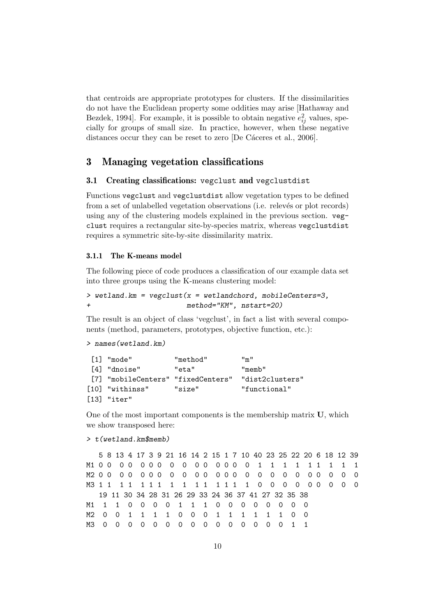that centroids are appropriate prototypes for clusters. If the dissimilarities do not have the Euclidean property some oddities may arise [Hathaway and Bezdek, 1994]. For example, it is possible to obtain negative  $e_{ij}^2$  values, specially for groups of small size. In practice, however, when these negative distances occur they can be reset to zero [De Cáceres et al., 2006].

# 3 Managing vegetation classifications

### 3.1 Creating classifications: vegclust and vegclustdist

Functions vegclust and vegclustdist allow vegetation types to be defined from a set of unlabelled vegetation observations (i.e. relevés or plot records) using any of the clustering models explained in the previous section. vegclust requires a rectangular site-by-species matrix, whereas vegclustdist requires a symmetric site-by-site dissimilarity matrix.

#### 3.1.1 The K-means model

The following piece of code produces a classification of our example data set into three groups using the K-means clustering model:

 $>$  wetland.km = vegclust( $x =$  wetlandchord, mobileCenters=3, method="KM", nstart=20)

The result is an object of class 'vegclust', in fact a list with several components (method, parameters, prototypes, objective function, etc.):

```
> names(wetland.km)
```

| $\lceil 1 \rceil$ "mode"           | "method" | $\mathsf{H}_{\mathsf{m}}\mathsf{H}$ |
|------------------------------------|----------|-------------------------------------|
| [4] "dnoise"                       | "eta"    | "memb"                              |
| [7] "mobileCenters" "fixedCenters" |          | "dist2clusters"                     |
| [10] "withinss"                    | "size"   | "functional"                        |
| $[13]$ "iter"                      |          |                                     |

One of the most important components is the membership matrix U, which we show transposed here:

```
> t(wetland.km$memb)
```
5 8 13 4 17 3 9 21 16 14 2 15 1 7 10 40 23 25 22 20 6 18 12 39 M1 0 0 0 0 0 0 0 0 0 0 0 0 0 0 0 1 1 1 1 1 1 1 1 1 M2 0 0 0 0 0 0 0 0 0 0 0 0 0 0 0 0 0 0 0 0 0 0 0 0 M3 1 1 1 1 1 1 1 1 1 1 1 1 1 1 1 0 0 0 0 0 0 0 0 0 19 11 30 34 28 31 26 29 33 24 36 37 41 27 32 35 38 M1 1 1 0 0 0 0 1 1 1 0 0 0 0 0 0 0 0 M2 0 0 1 1 1 1 0 0 0 1 1 1 1 1 1 0 0 M3 0 0 0 0 0 0 0 0 0 0 0 0 0 0 0 1 1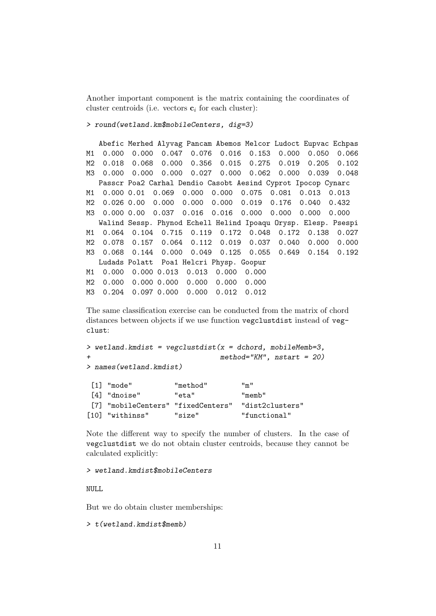Another important component is the matrix containing the coordinates of cluster centroids (i.e. vectors  $\mathbf{c}_i$  for each cluster):

> round(wetland.km\$mobileCenters, dig=3)

Abefic Merhed Alyvag Pancam Abemos Melcor Ludoct Eupvac Echpas M1 0.000 0.000 0.047 0.076 0.016 0.153 0.000 0.050 0.066 M2 0.018 0.068 0.000 0.356 0.015 0.275 0.019 0.205 0.102 M3 0.000 0.000 0.000 0.027 0.000 0.062 0.000 0.039 0.048 Passcr Poa2 Carhal Dendio Casobt Aesind Cyprot Ipocop Cynarc M1 0.000 0.01 0.069 0.000 0.000 0.075 0.081 0.013 0.013 M2 0.026 0.00 0.000 0.000 0.000 0.019 0.176 0.040 0.432 M3 0.000 0.00 0.037 0.016 0.016 0.000 0.000 0.000 0.000 Walind Sessp. Phynod Echell Helind Ipoaqu Orysp. Elesp. Psespi M1 0.064 0.104 0.715 0.119 0.172 0.048 0.172 0.138 0.027 M2 0.078 0.157 0.064 0.112 0.019 0.037 0.040 0.000 0.000 M3 0.068 0.144 0.000 0.049 0.125 0.055 0.649 0.154 0.192 Ludads Polatt Poa1 Helcri Physp. Goopur M1 0.000 0.000 0.013 0.013 0.000 0.000 M2 0.000 0.000 0.000 0.000 0.000 0.000 M3 0.204 0.097 0.000 0.000 0.012 0.012

The same classification exercise can be conducted from the matrix of chord distances between objects if we use function vegclustdist instead of vegclust:

> wetland.kmdist = vegclustdist( $x =$  dchord, mobileMemb=3,  $method="KM"$ ,  $nstart = 20$ > names(wetland.kmdist)

| $\lceil 1 \rceil$ "mode"           | "method" | $\mathsf{H}_{\mathsf{m}}\mathsf{H}$ |
|------------------------------------|----------|-------------------------------------|
| [4] "dnoise"                       | "eta"    | "memb"                              |
| [7] "mobileCenters" "fixedCenters" |          | "dist2clusters"                     |
| [10] "withinss"                    | "size"   | "functional"                        |

Note the different way to specify the number of clusters. In the case of vegclustdist we do not obtain cluster centroids, because they cannot be calculated explicitly:

> wetland.kmdist\$mobileCenters

NULL

But we do obtain cluster memberships:

```
> t(wetland.kmdist$memb)
```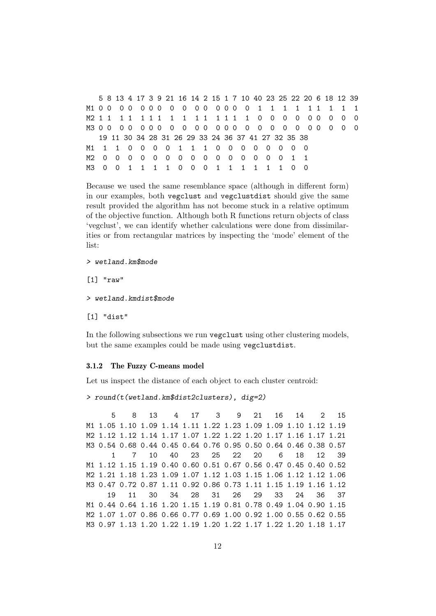5 8 13 4 17 3 9 21 16 14 2 15 1 7 10 40 23 25 22 20 6 18 12 39 M1 0 0 0 0 0 0 0 0 0 0 0 0 0 0 0 1 1 1 1 1 1 1 1 1 M2 1 1 1 1 1 1 1 1 1 1 1 1 1 1 1 0 0 0 0 0 0 0 0 0 M3 0 0 0 0 0 0 0 0 0 0 0 0 0 0 0 0 0 0 0 0 0 0 0 0 19 11 30 34 28 31 26 29 33 24 36 37 41 27 32 35 38 M1 1 1 0 0 0 0 1 1 1 0 0 0 0 0 0 0 0 M2 0 0 0 0 0 0 0 0 0 0 0 0 0 0 0 1 1 M3 0 0 1 1 1 1 0 0 0 1 1 1 1 1 1 0 0

Because we used the same resemblance space (although in different form) in our examples, both vegclust and vegclustdist should give the same result provided the algorithm has not become stuck in a relative optimum of the objective function. Although both R functions return objects of class 'vegclust', we can identify whether calculations were done from dissimilarities or from rectangular matrices by inspecting the 'mode' element of the list:

> wetland.km\$mode

[1] "raw"

> wetland.kmdist\$mode

[1] "dist"

In the following subsections we run vegclust using other clustering models, but the same examples could be made using vegclustdist.

### 3.1.2 The Fuzzy C-means model

Let us inspect the distance of each object to each cluster centroid:

> round(t(wetland.km\$dist2clusters), dig=2)

5 8 13 4 17 3 9 21 16 14 2 15 M1 1.05 1.10 1.09 1.14 1.11 1.22 1.23 1.09 1.09 1.10 1.12 1.19 M2 1.12 1.12 1.14 1.17 1.07 1.22 1.22 1.20 1.17 1.16 1.17 1.21 M3 0.54 0.68 0.44 0.45 0.64 0.76 0.95 0.50 0.64 0.46 0.38 0.57 1 7 10 40 23 25 22 20 6 18 12 39 M1 1.12 1.15 1.19 0.40 0.60 0.51 0.67 0.56 0.47 0.45 0.40 0.52 M2 1.21 1.18 1.23 1.09 1.07 1.12 1.03 1.15 1.06 1.12 1.12 1.06 M3 0.47 0.72 0.87 1.11 0.92 0.86 0.73 1.11 1.15 1.19 1.16 1.12 19 11 30 34 28 31 26 29 33 24 36 37 M1 0.44 0.64 1.16 1.20 1.15 1.19 0.81 0.78 0.49 1.04 0.90 1.15 M2 1.07 1.07 0.86 0.66 0.77 0.69 1.00 0.92 1.00 0.55 0.62 0.55 M3 0.97 1.13 1.20 1.22 1.19 1.20 1.22 1.17 1.22 1.20 1.18 1.17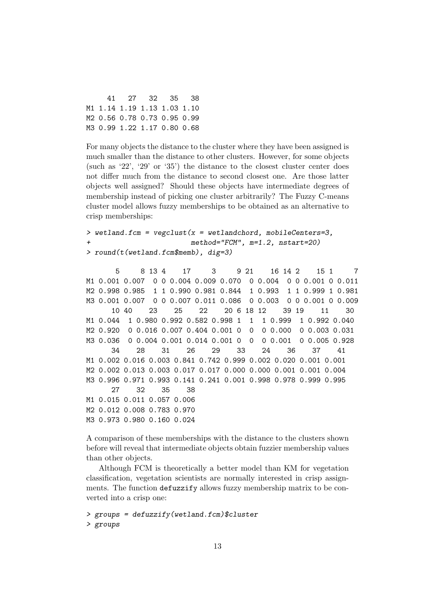|  | 41 27 32 35 38              |  |
|--|-----------------------------|--|
|  | M1 1.14 1.19 1.13 1.03 1.10 |  |
|  | M2 0.56 0.78 0.73 0.95 0.99 |  |
|  | M3 0.99 1.22 1.17 0.80 0.68 |  |

For many objects the distance to the cluster where they have been assigned is much smaller than the distance to other clusters. However, for some objects (such as '22', '29' or '35') the distance to the closest cluster center does not differ much from the distance to second closest one. Are those latter objects well assigned? Should these objects have intermediate degrees of membership instead of picking one cluster arbitrarily? The Fuzzy C-means cluster model allows fuzzy memberships to be obtained as an alternative to crisp memberships:

```
> wetland.fcm = vegclust(x = wetlandchord, mobileCenters=3,
                         method="FCM", m=1.2, nstart=20)> round(t(wetland.fcm$memb), dig=3)
```
5 8 13 4 17 3 9 21 16 14 2 15 1 7 M1 0.001 0.007 0 0 0.004 0.009 0.070 0 0.004 0 0 0.001 0 0.011 M2 0.998 0.985 1 1 0.990 0.981 0.844 1 0.993 1 1 0.999 1 0.981 M3 0.001 0.007 0 0 0.007 0.011 0.086 0 0.003 0 0 0.001 0 0.009 10 40 23 25 22 20 6 18 12 39 19 11 30 M1 0.044 1 0.980 0.992 0.582 0.998 1 1 1 0.999 1 0.992 0.040 M2 0.920 0 0.016 0.007 0.404 0.001 0 0 0 0.000 0 0.003 0.031 M3 0.036 0 0.004 0.001 0.014 0.001 0 0 0 0.001 0 0.005 0.928 34 28 31 26 29 33 24 36 37 41 M1 0.002 0.016 0.003 0.841 0.742 0.999 0.002 0.020 0.001 0.001 M2 0.002 0.013 0.003 0.017 0.017 0.000 0.000 0.001 0.001 0.004 M3 0.996 0.971 0.993 0.141 0.241 0.001 0.998 0.978 0.999 0.995 27 32 35 38 M1 0.015 0.011 0.057 0.006 M2 0.012 0.008 0.783 0.970 M3 0.973 0.980 0.160 0.024

A comparison of these memberships with the distance to the clusters shown before will reveal that intermediate objects obtain fuzzier membership values than other objects.

Although FCM is theoretically a better model than KM for vegetation classification, vegetation scientists are normally interested in crisp assignments. The function defuzzify allows fuzzy membership matrix to be converted into a crisp one:

```
> groups = defuzzify(wetland.fcm)$cluster
> groups
```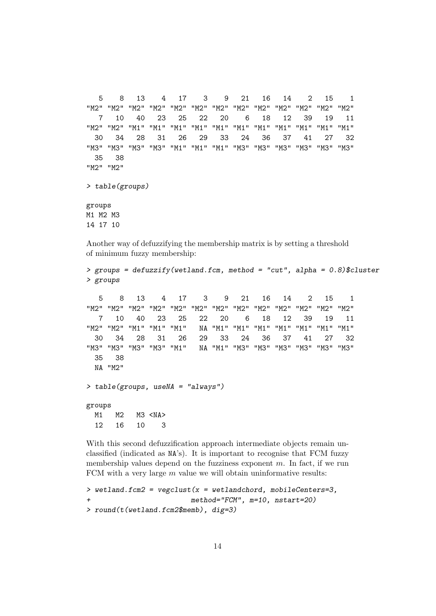```
5 8 13 4 17 3 9 21 16 14 2 15 1
"M2" "M2" "M2" "M2" "M2" "M2" "M2" "M2" "M2" "M2" "M2" "M2" "M2"
  7 10 40 23 25 22 20 6 18 12 39 19 11
"M2" "M2" "M1" "M1" "M1" "M1" "M1" "M1" "M1" "M1" "M1" "M1" "M1"
 30 34 28 31 26 29 33 24 36 37 41 27 32
"M3" "M3" "M3" "M3" "M1" "M1" "M1" "M3" "M3" "M3" "M3" "M3" "M3"
 35 38
"M2" "M2"
> table(groups)
groups
M1 M2 M3
14 17 10
```
Another way of defuzzifying the membership matrix is by setting a threshold of minimum fuzzy membership:

```
> groups = defuzzify(wetland.fcm, method = "cut", alpha = 0.8)$cluster
> groups
  5 8 13 4 17 3 9 21 16 14 2 15 1
"M2" "M2" "M2" "M2" "M2" "M2" "M2" "M2" "M2" "M2" "M2" "M2" "M2"
  7 10 40 23 25 22 20 6 18 12 39 19 11
"M2" "M2" "M1" "M1" "M1" NA "M1" "M1" "M1" "M1" "M1" "M1" "M1"
 30 34 28 31 26 29 33 24 36 37 41 27 32
"M3" "M3" "M3" "M3" "M1" NA "M1" "M3" "M3" "M3" "M3" "M3" "M3"
 35 38
 NA "M2"
> table(groups, useNA = "always")
groups
 M1 M2 M3 <NA>
 12 16 10 3
```
With this second defuzzification approach intermediate objects remain unclassified (indicated as NA's). It is important to recognise that FCM fuzzy membership values depend on the fuzziness exponent  $m$ . In fact, if we run FCM with a very large  $m$  value we will obtain uninformative results:

```
> wetland.fcm2 = vegclust(x = wetlandchord, mobileCenters=3,+ method="FCM", m=10, nstart=20)
> round(t(wetland.fcm2$memb), dig=3)
```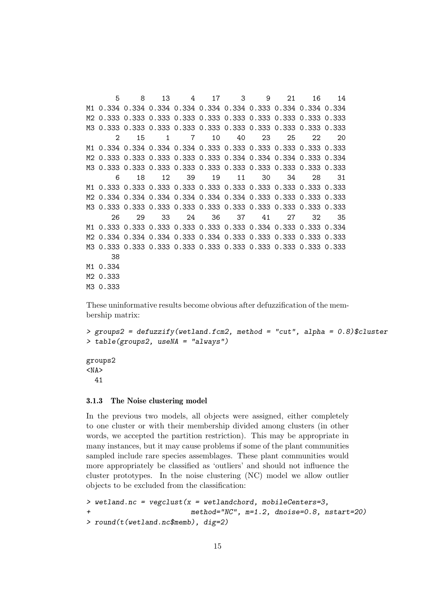5 8 13 4 17 3 9 21 16 14 M1 0.334 0.334 0.334 0.334 0.334 0.334 0.333 0.334 0.334 0.334 M2 0.333 0.333 0.333 0.333 0.333 0.333 0.333 0.333 0.333 0.333 M3 0.333 0.333 0.333 0.333 0.333 0.333 0.333 0.333 0.333 0.333 2 15 1 7 10 40 23 25 22 20 M1 0.334 0.334 0.334 0.334 0.333 0.333 0.333 0.333 0.333 0.333 M2 0.333 0.333 0.333 0.333 0.333 0.334 0.334 0.334 0.333 0.334 M3 0.333 0.333 0.333 0.333 0.333 0.333 0.333 0.333 0.333 0.333 6 18 12 39 19 11 30 34 28 31 M1 0.333 0.333 0.333 0.333 0.333 0.333 0.333 0.333 0.333 0.333 M2 0.334 0.334 0.334 0.334 0.334 0.334 0.333 0.333 0.333 0.333 M3 0.333 0.333 0.333 0.333 0.333 0.333 0.333 0.333 0.333 0.333 26 29 33 24 36 37 41 27 32 35 M1 0.333 0.333 0.333 0.333 0.333 0.333 0.334 0.333 0.333 0.334 M2 0.334 0.334 0.334 0.333 0.334 0.333 0.333 0.333 0.333 0.333 M3 0.333 0.333 0.333 0.333 0.333 0.333 0.333 0.333 0.333 0.333 38 M1 0.334 M2 0.333 M3 0.333

These uninformative results become obvious after defuzzification of the membership matrix:

```
> groups2 = defuzzify(wetland.fcm2, method = "cut", alpha = 0.8)$cluster
> table(groups2, useNA = "always")
```
groups2  $<$ NA $>$ 41

#### 3.1.3 The Noise clustering model

In the previous two models, all objects were assigned, either completely to one cluster or with their membership divided among clusters (in other words, we accepted the partition restriction). This may be appropriate in many instances, but it may cause problems if some of the plant communities sampled include rare species assemblages. These plant communities would more appropriately be classified as 'outliers' and should not influence the cluster prototypes. In the noise clustering (NC) model we allow outlier objects to be excluded from the classification:

```
> wetland.nc = vegclust(x = wetlandchord, mobileCenters=3,
+ method="NC", m=1.2, dnoise=0.8, nstart=20)
> round(t(wetland.nc$memb), dig=2)
```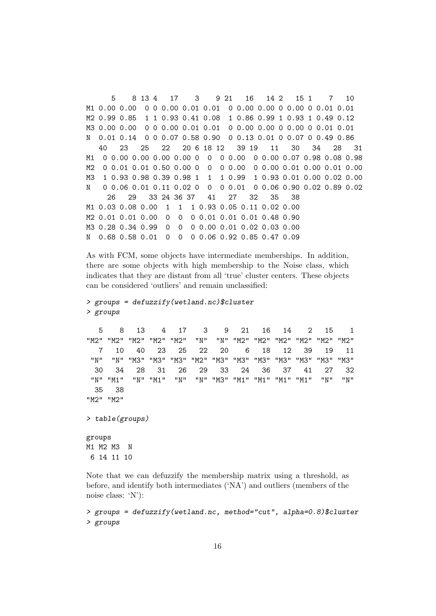5 8 13 4 17 3 9 21 16 14 2 15 1 7 10 M1 0.00 0.00 0 0 0.00 0.01 0.01 0 0.00 0.00 0 0.00 0 0.01 0.01 M2 0.99 0.85 1 1 0.93 0.41 0.08 1 0.86 0.99 1 0.93 1 0.49 0.12 M3 0.00 0.00 0 0 0.00 0.01 0.01 0 0.00 0.00 0 0.00 0 0.01 0.01 N 0.01 0.14 0 0 0.07 0.58 0.90 0 0.13 0.01 0 0.07 0 0.49 0.86 40 23 25 22 20 6 18 12 39 19 11 30 34 28 31 M1 0 0.00 0.00 0.00 0.00 0 0 0 0.00 0 0.00 0.07 0.98 0.08 0.98 M2 0 0.01 0.01 0.50 0.00 0 0 0 0.00 0 0.00 0.01 0.00 0.01 0.00 M3 1 0.93 0.98 0.39 0.98 1 1 1 0.99 1 0.93 0.01 0.00 0.02 0.00 N 0 0.06 0.01 0.11 0.02 0 0 0 0.01 0 0.06 0.90 0.02 0.89 0.02 26 29 33 24 36 37 41 27 32 35 38 M1 0.03 0.08 0.00 1 1 1 0.93 0.05 0.11 0.02 0.00 M2 0.01 0.01 0.00 0 0 0 0.01 0.01 0.01 0.48 0.90 M3 0.28 0.34 0.99 0 0 0 0.00 0.01 0.02 0.03 0.00 N 0.68 0.58 0.01 0 0 0 0.06 0.92 0.85 0.47 0.09

As with FCM, some objects have intermediate memberships. In addition, there are some objects with high membership to the Noise class, which indicates that they are distant from all 'true' cluster centers. These objects can be considered 'outliers' and remain unclassified:

```
> groups = defuzzify(wetland.nc)$cluster
> groups
```
5 8 13 4 17 3 9 21 16 14 2 15 1 "M2" "M2" "M2" "M2" "M2" "N" "N" "M2" "M2" "M2" "M2" "M2" "M2" 7 10 40 23 25 22 20 6 18 12 39 19 11 "N" "N" "M3" "M3" "M3" "M2" "M3" "M3" "M3" "M3" "M3" "M3" "M3" 30 34 28 31 26 29 33 24 36 37 41 27 32 "N" "M1" "N" "M1" "N" "N" "M3" "M1" "M1" "M1" "M1" "N" "N" 35 38 "M2" "M2"

```
> table(groups)
```
groups M1 M2 M3 N 6 14 11 10

Note that we can defuzzify the membership matrix using a threshold, as before, and identify both intermediates ('NA') and outliers (members of the noise class: 'N'):

> groups = defuzzify(wetland.nc, method="cut", alpha=0.8)\$cluster > groups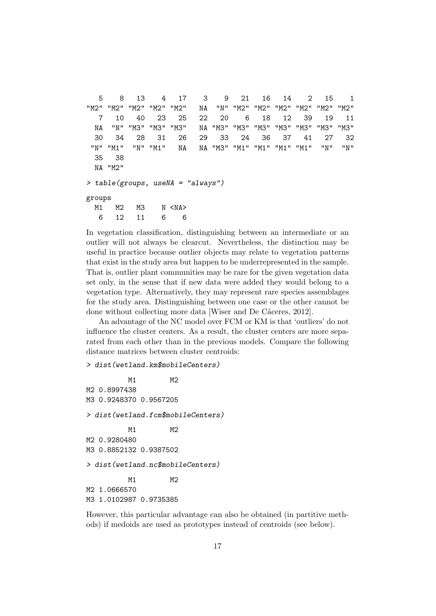```
5 8 13 4 17 3 9 21 16 14 2 15 1
"M2" "M2" "M2" "M2" "M2" NA "N" "M2" "M2" "M2" "M2" "M2" "M2"
  7 10 40 23 25 22 20 6 18 12 39 19 11
 NA "N" "M3" "M3" "M3" NA "M3" "M3" "M3" "M3" "M3" "M3" "M3"
 30 34 28 31 26 29 33 24 36 37 41 27 32
"N" "M1" "N" "M1" NA NA "M3" "M1" "M1" "M1" "M1" "N" "N"
 35 38
 NA "M2"
> table(groups, useNA = "always")
groups
 M1 M2 M3 N <NA>
  6 12 11 6 6
```
In vegetation classification, distinguishing between an intermediate or an outlier will not always be clearcut. Nevertheless, the distinction may be useful in practice because outlier objects may relate to vegetation patterns that exist in the study area but happen to be underrepresented in the sample. That is, outlier plant communities may be rare for the given vegetation data set only, in the sense that if new data were added they would belong to a vegetation type. Alternatively, they may represent rare species assemblages for the study area. Distinguishing between one case or the other cannot be done without collecting more data [Wiser and De Cáceres, 2012].

An advantage of the NC model over FCM or KM is that 'outliers' do not influence the cluster centers. As a result, the cluster centers are more separated from each other than in the previous models. Compare the following distance matrices between cluster centroids:

```
> dist(wetland.km$mobileCenters)
```

```
M1 M2
M2 0.8997438
M3 0.9248370 0.9567205
> dist(wetland.fcm$mobileCenters)
         M1 M2
M2 0.9280480
M3 0.8852132 0.9387502
> dist(wetland.nc$mobileCenters)
         M1 M2
M2 1.0666570
M3 1.0102987 0.9735385
```
However, this particular advantage can also be obtained (in partitive methods) if medoids are used as prototypes instead of centroids (see below).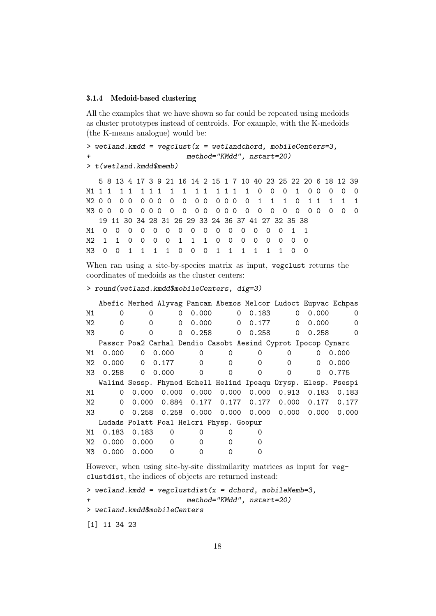#### 3.1.4 Medoid-based clustering

All the examples that we have shown so far could be repeated using medoids as cluster prototypes instead of centroids. For example, with the K-medoids (the K-means analogue) would be:

```
> wetland.kmdd = vegclust(x = wetlandchord, mobileCenters=3,
+ method="KMdd", nstart=20)
```
> t(wetland.kmdd\$memb)

5 8 13 4 17 3 9 21 16 14 2 15 1 7 10 40 23 25 22 20 6 18 12 39 M1 1 1 1 1 1 1 1 1 1 1 1 1 1 1 1 0 0 0 1 0 0 0 0 0 M2 0 0 0 0 0 0 0 0 0 0 0 0 0 0 0 1 1 1 0 1 1 1 1 1 M3 0 0 0 0 0 0 0 0 0 0 0 0 0 0 0 0 0 0 0 0 0 0 0 0 19 11 30 34 28 31 26 29 33 24 36 37 41 27 32 35 38 M1 0 0 0 0 0 0 0 0 0 0 0 0 0 0 0 1 1 M2 1 1 0 0 0 0 1 1 1 0 0 0 0 0 0 0 0 M3 0 0 1 1 1 1 0 0 0 1 1 1 1 1 1 0 0

When ran using a site-by-species matrix as input, vegclust returns the coordinates of medoids as the cluster centers:

```
> round(wetland.kmdd$mobileCenters, dig=3)
```

|    |          |          | Abefic Merhed Alyvag Pancam Abemos Melcor Ludoct Eupvac Echpas |          |          |                                         |                     |       |       |
|----|----------|----------|----------------------------------------------------------------|----------|----------|-----------------------------------------|---------------------|-------|-------|
| M1 | 0        | 0        | 0                                                              | 0.000    | 0        | 0.183                                   | 0                   | 0.000 | 0     |
| M2 | 0        | 0        | 0                                                              | 0.000    | 0        | 0.177                                   | 0                   | 0.000 | 0     |
| ΜЗ | 0        |          | 0                                                              | 0.258    | $\Omega$ | 0.258                                   | 0                   | 0.258 | 0     |
|    |          |          | Passcr Poa2 Carhal Dendio Casobt Aesind Cyprot Ipocop Cynarc   |          |          |                                         |                     |       |       |
| M1 | 0.000    | 0        | 0.000                                                          | $\Omega$ | 0        | 0                                       | 0                   | 0     | 0.000 |
| M2 | 0.000    | $\Omega$ | 0.177                                                          | $\Omega$ | 0        | 0                                       | 0                   | 0     | 0.000 |
| ΜЗ | 0.258    | 0        | 0.000                                                          | $\Omega$ | 0        | 0                                       | $\Omega$            | 0     | 0.775 |
|    |          |          | Walind Sessp. Phynod Echell Helind Ipoaqu Orysp. Elesp. Psespi |          |          |                                         |                     |       |       |
| M1 | 0        | 0.000    |                                                                |          |          | $0.000$ $0.000$ $0.000$ $0.000$ $0.913$ |                     | 0.183 | 0.183 |
| M2 | 0        | 0.000    | 0.884                                                          |          |          | 0.177   0.177   0.177                   | 0.000               | 0.177 | 0.177 |
| MЗ | $\Omega$ | 0.258    | 0.258                                                          | 0.000    | 0.000    |                                         | $0.000 \quad 0.000$ | 0.000 | 0.000 |
|    |          |          | Ludads Polatt Poa1 Helcri Physp. Goopur                        |          |          |                                         |                     |       |       |
| M1 | 0.183    | 0.183    | 0                                                              | 0        | $\Omega$ | 0                                       |                     |       |       |
| M2 | 0.000    | 0.000    | $\Omega$                                                       | 0        |          |                                         |                     |       |       |
| ΜЗ | 0.000    | 0.000    | $\Omega$                                                       | 0        | Ω        |                                         |                     |       |       |
|    |          |          |                                                                |          |          |                                         |                     |       |       |

However, when using site-by-site dissimilarity matrices as input for vegclustdist, the indices of objects are returned instead:

```
> wetland.kmdd = vegclustdist(x =dchord, mobileMemb=3,
+ method="KMdd", nstart=20)
> wetland.kmdd$mobileCenters
[1] 11 34 23
```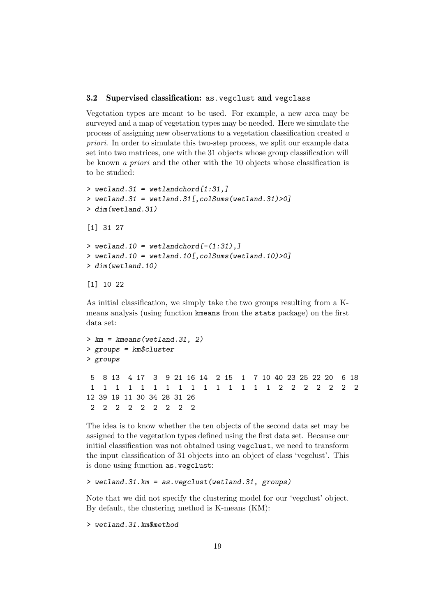# 3.2 Supervised classification: as.vegclust and vegclass

Vegetation types are meant to be used. For example, a new area may be surveyed and a map of vegetation types may be needed. Here we simulate the process of assigning new observations to a vegetation classification created a priori. In order to simulate this two-step process, we split our example data set into two matrices, one with the 31 objects whose group classification will be known a priori and the other with the 10 objects whose classification is to be studied:

```
> wetland.31 = wetlandchord[1:31,]
> wetland.31 = wetland.31[, colSumS(welland.31)>0]
> dim(wetland.31)
[1] 31 27
> wetland.10 = wetlandchord[-(1:31),]> wetland.10 = wetland.10[, colSums(wetland.10)>0]
> dim(wetland.10)
```

```
[1] 10 22
```
As initial classification, we simply take the two groups resulting from a Kmeans analysis (using function kmeans from the stats package) on the first data set:

```
> km = kmeans(wetland.31, 2)
> groups = km$cluster
> groups
5 8 13 4 17 3 9 21 16 14 2 15 1 7 10 40 23 25 22 20 6 18
1 1 1 1 1 1 1 1 1 1 1 1 1 1 1 2 2 2 2 2 2 2
12 39 19 11 30 34 28 31 26
2 2 2 2 2 2 2 2 2
```
The idea is to know whether the ten objects of the second data set may be assigned to the vegetation types defined using the first data set. Because our initial classification was not obtained using vegclust, we need to transform the input classification of 31 objects into an object of class 'vegclust'. This is done using function as.vegclust:

# > wetland.31.km = as.vegclust(wetland.31, groups)

Note that we did not specify the clustering model for our 'vegclust' object. By default, the clustering method is K-means (KM):

```
> wetland.31.km$method
```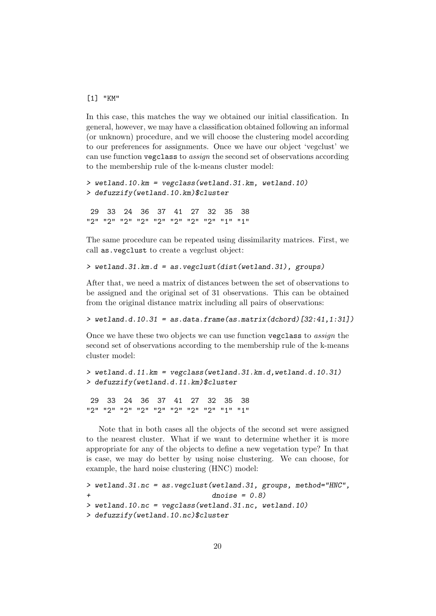#### [1] "KM"

In this case, this matches the way we obtained our initial classification. In general, however, we may have a classification obtained following an informal (or unknown) procedure, and we will choose the clustering model according to our preferences for assignments. Once we have our object 'vegclust' we can use function vegclass to assign the second set of observations according to the membership rule of the k-means cluster model:

```
> wetland.10.km = vegclass(wetland.31.km, wetland.10)
> defuzzify(wetland.10.km)$cluster
```
29 33 24 36 37 41 27 32 35 38 "2" "2" "2" "2" "2" "2" "2" "2" "1" "1"

The same procedure can be repeated using dissimilarity matrices. First, we call as.vegclust to create a vegclust object:

```
> wetland.31.km.d = as.vegclust(dist(wetland.31), groups)
```
After that, we need a matrix of distances between the set of observations to be assigned and the original set of 31 observations. This can be obtained from the original distance matrix including all pairs of observations:

 $>$  wetland.d.10.31 = as.data.frame(as.matrix(dchord)[32:41,1:31])

Once we have these two objects we can use function vegclass to assign the second set of observations according to the membership rule of the k-means cluster model:

```
> wetland.d.11.km = vegclass(wetland.31.km.d,wetland.d.10.31)
> defuzzify(wetland.d.11.km)$cluster
```
29 33 24 36 37 41 27 32 35 38 "2" "2" "2" "2" "2" "2" "2" "2" "1" "1"

Note that in both cases all the objects of the second set were assigned to the nearest cluster. What if we want to determine whether it is more appropriate for any of the objects to define a new vegetation type? In that is case, we may do better by using noise clustering. We can choose, for example, the hard noise clustering (HNC) model:

```
> wetland.31.nc = as.vegclust(wetland.31, groups, method="HNC",
+ dnoise = 0.8)
> wetland.10.nc = vegclass(wetland.31.nc, wetland.10)
> defuzzify(wetland.10.nc)$cluster
```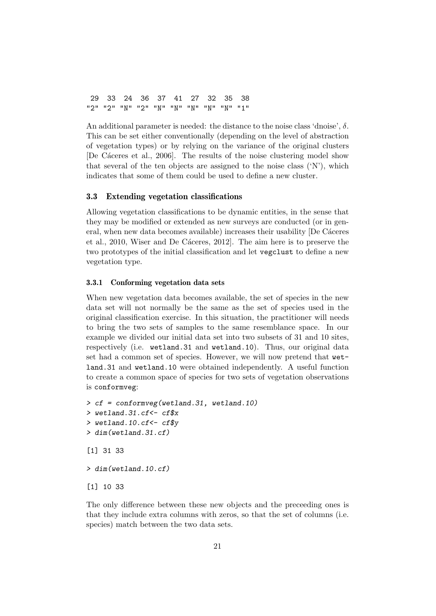29 33 24 36 37 41 27 32 35 38 "2" "2" "N" "2" "N" "N" "N" "N" "N" "1"

An additional parameter is needed: the distance to the noise class 'dnoise',  $\delta$ . This can be set either conventionally (depending on the level of abstraction of vegetation types) or by relying on the variance of the original clusters [De Cáceres et al., 2006]. The results of the noise clustering model show that several of the ten objects are assigned to the noise class  $({\rm 'N'})$ , which indicates that some of them could be used to define a new cluster.

# 3.3 Extending vegetation classifications

Allowing vegetation classifications to be dynamic entities, in the sense that they may be modified or extended as new surveys are conducted (or in general, when new data becomes available) increases their usability [De Cáceres et al., 2010, Wiser and De Cáceres, 2012. The aim here is to preserve the two prototypes of the initial classification and let vegclust to define a new vegetation type.

#### 3.3.1 Conforming vegetation data sets

When new vegetation data becomes available, the set of species in the new data set will not normally be the same as the set of species used in the original classification exercise. In this situation, the practitioner will needs to bring the two sets of samples to the same resemblance space. In our example we divided our initial data set into two subsets of 31 and 10 sites, respectively (i.e. wetland.31 and wetland.10). Thus, our original data set had a common set of species. However, we will now pretend that wetland.31 and wetland.10 were obtained independently. A useful function to create a common space of species for two sets of vegetation observations is conformveg:

```
> cf = conformveg(wetland.31, wetland.10)
> wetland.31.cf<- cf$x
> wetland.10.cf<- cf$y
> dim(wetland.31.cf)
[1] 31 33
> dim(wetland.10.cf)
[1] 10 33
```
The only difference between these new objects and the preceeding ones is that they include extra columns with zeros, so that the set of columns (i.e. species) match between the two data sets.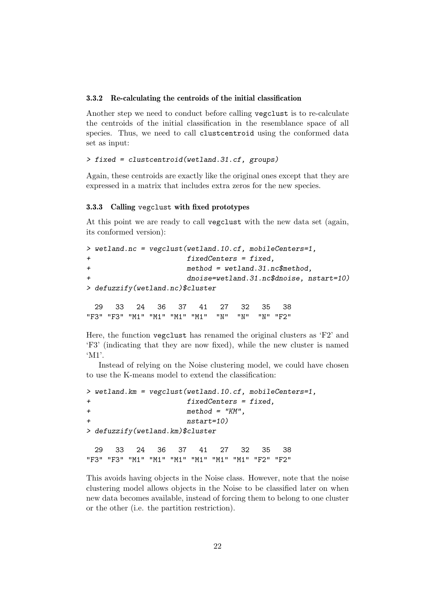#### 3.3.2 Re-calculating the centroids of the initial classification

Another step we need to conduct before calling vegclust is to re-calculate the centroids of the initial classification in the resemblance space of all species. Thus, we need to call clustcentroid using the conformed data set as input:

# > fixed = clustcentroid(wetland.31.cf, groups)

Again, these centroids are exactly like the original ones except that they are expressed in a matrix that includes extra zeros for the new species.

#### 3.3.3 Calling vegclust with fixed prototypes

At this point we are ready to call vegclust with the new data set (again, its conformed version):

```
> wetland.nc = vegclust(wetland.10.cf, mobileCenters=1,
+ fixedCenters = fixed,
+ method = wetland.31.nc$method,
+ dnoise=wetland.31.nc$dnoise, nstart=10)
> defuzzify(wetland.nc)$cluster
```
29 33 24 36 37 41 27 32 35 38 "F3" "F3" "M1" "M1" "M1" "M1" "N" "N" "N" "F2"

Here, the function vegclust has renamed the original clusters as 'F2' and 'F3' (indicating that they are now fixed), while the new cluster is named 'M1'.

Instead of relying on the Noise clustering model, we could have chosen to use the K-means model to extend the classification:

```
> wetland.km = vegclust(wetland.10.cf, mobileCenters=1,
+ fixedCenters = fixed,
+ method = "KM",
+ nstart=10)
> defuzzify(wetland.km)$cluster
 29 33 24 36 37 41 27 32 35 38
"F3" "F3" "M1" "M1" "M1" "M1" "M1" "M1" "F2" "F2"
```
This avoids having objects in the Noise class. However, note that the noise clustering model allows objects in the Noise to be classified later on when new data becomes available, instead of forcing them to belong to one cluster or the other (i.e. the partition restriction).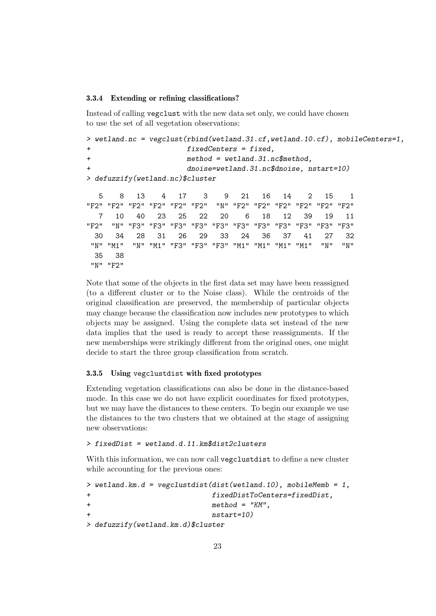#### 3.3.4 Extending or refining classifications?

Instead of calling vegclust with the new data set only, we could have chosen to use the set of all vegetation observations:

```
> wetland.nc = vegclust(rbind(wetland.31.cf,wetland.10.cf), mobileCenters=1,
+ fixedCenters = fixed,
+ method = wetland.31.nc$method,
+ dnoise=wetland.31.nc$dnoise, nstart=10)
> defuzzify(wetland.nc)$cluster
  5 8 13 4 17 3 9 21 16 14 2 15 1
"F2" "F2" "F2" "F2" "F2" "F2" "N" "F2" "F2" "F2" "F2" "F2" "F2"
  7 10 40 23 25 22 20 6 18 12 39 19 11
"F2" "N" "F3" "F3" "F3" "F3" "F3" "F3" "F3" "F3" "F3" "F3" "F3"
 30 34 28 31 26 29 33 24 36 37 41 27 32
"N" "M1" "N" "M1" "F3" "F3" "F3" "M1" "M1" "M1" "M1" "N" "N"
 35 38
"N" "F2"
```
Note that some of the objects in the first data set may have been reassigned (to a different cluster or to the Noise class). While the centroids of the original classification are preserved, the membership of particular objects may change because the classification now includes new prototypes to which objects may be assigned. Using the complete data set instead of the new data implies that the used is ready to accept these reassignments. If the new memberships were strikingly different from the original ones, one might decide to start the three group classification from scratch.

#### 3.3.5 Using vegclustdist with fixed prototypes

Extending vegetation classifications can also be done in the distance-based mode. In this case we do not have explicit coordinates for fixed prototypes, but we may have the distances to these centers. To begin our example we use the distances to the two clusters that we obtained at the stage of assigning new observations:

### > fixedDist = wetland.d.11.km\$dist2clusters

With this information, we can now call vegetustdist to define a new cluster while accounting for the previous ones:

```
> wetland.km.d = vegclustdist(dist(wetland.10), mobileMemb = 1,
+ fixedDistToCenters=fixedDist,
+ method = "KM",
+ nstart=10)
> defuzzify(wetland.km.d)$cluster
```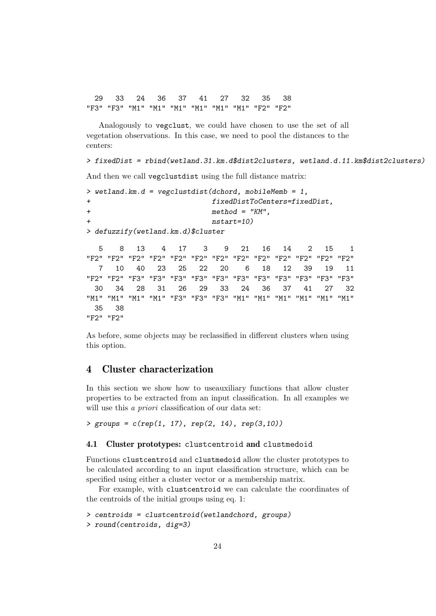29 33 24 36 37 41 27 32 35 38 "F3" "F3" "M1" "M1" "M1" "M1" "M1" "M1" "F2" "F2"

Analogously to vegclust, we could have chosen to use the set of all vegetation observations. In this case, we need to pool the distances to the centers:

> fixedDist = rbind(wetland.31.km.d\$dist2clusters, wetland.d.11.km\$dist2clusters)

And then we call vegclustdist using the full distance matrix:

```
> wetland.km.d = vegclustdist(dchord, mobileMemb = 1,
+ fixedDistToCenters=fixedDist,
+ method = "KM",
+ nstart=10)
> defuzzify(wetland.km.d)$cluster
  5 8 13 4 17 3 9 21 16 14 2 15 1
"F2" "F2" "F2" "F2" "F2" "F2" "F2" "F2" "F2" "F2" "F2" "F2" "F2"
  7 10 40 23 25 22 20 6 18 12 39 19 11
"F2" "F2" "F3" "F3" "F3" "F3" "F3" "F3" "F3" "F3" "F3" "F3" "F3"
 30 34 28 31 26 29 33 24 36 37 41 27 32
"M1" "M1" "M1" "M1" "F3" "F3" "F3" "M1" "M1" "M1" "M1" "M1" "M1"
 35 38
```
"F2" "F2"

As before, some objects may be reclassified in different clusters when using this option.

# 4 Cluster characterization

In this section we show how to useauxiliary functions that allow cluster properties to be extracted from an input classification. In all examples we will use this *a priori* classification of our data set:

 $>$  groups = c(rep(1, 17), rep(2, 14), rep(3,10))

### 4.1 Cluster prototypes: clustcentroid and clustmedoid

Functions clustcentroid and clustmedoid allow the cluster prototypes to be calculated according to an input classification structure, which can be specified using either a cluster vector or a membership matrix.

For example, with clustcentroid we can calculate the coordinates of the centroids of the initial groups using eq. 1:

```
> centroids = clustcentroid(wetlandchord, groups)
```

```
> round(centroids, dig=3)
```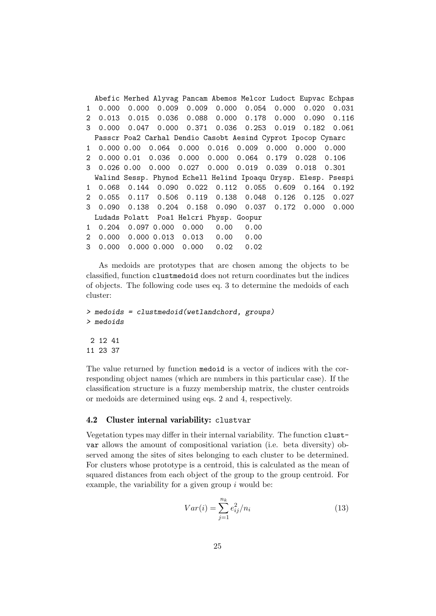Abefic Merhed Alyvag Pancam Abemos Melcor Ludoct Eupvac Echpas 1 0.000 0.000 0.009 0.009 0.000 0.054 0.000 0.020 0.031 2 0.013 0.015 0.036 0.088 0.000 0.178 0.000 0.090 0.116 3 0.000 0.047 0.000 0.371 0.036 0.253 0.019 0.182 0.061 Passcr Poa2 Carhal Dendio Casobt Aesind Cyprot Ipocop Cynarc 1 0.000 0.00 0.064 0.000 0.016 0.009 0.000 0.000 0.000 2 0.000 0.01 0.036 0.000 0.000 0.064 0.179 0.028 0.106 3 0.026 0.00 0.000 0.027 0.000 0.019 0.039 0.018 0.301 Walind Sessp. Phynod Echell Helind Ipoaqu Orysp. Elesp. Psespi 1 0.068 0.144 0.090 0.022 0.112 0.055 0.609 0.164 0.192 2 0.055 0.117 0.506 0.119 0.138 0.048 0.126 0.125 0.027 3 0.090 0.138 0.204 0.158 0.090 0.037 0.172 0.000 0.000 Ludads Polatt Poa1 Helcri Physp. Goopur 1 0.204 0.097 0.000 0.000 0.00 0.00 2 0.000 0.000 0.013 0.013 0.00 0.00 3 0.000 0.000 0.000 0.000 0.02 0.02

As medoids are prototypes that are chosen among the objects to be classified, function clustmedoid does not return coordinates but the indices of objects. The following code uses eq. 3 to determine the medoids of each cluster:

```
> medoids = clustmedoid(wetlandchord, groups)
> medoids
2 12 41
11 23 37
```
The value returned by function medoid is a vector of indices with the corresponding object names (which are numbers in this particular case). If the classification structure is a fuzzy membership matrix, the cluster centroids or medoids are determined using eqs. 2 and 4, respectively.

# 4.2 Cluster internal variability: clustvar

Vegetation types may differ in their internal variability. The function clustvar allows the amount of compositional variation (i.e. beta diversity) observed among the sites of sites belonging to each cluster to be determined. For clusters whose prototype is a centroid, this is calculated as the mean of squared distances from each object of the group to the group centroid. For example, the variability for a given group  $i$  would be:

$$
Var(i) = \sum_{j=1}^{n_k} e_{ij}^2 / n_i
$$
\n(13)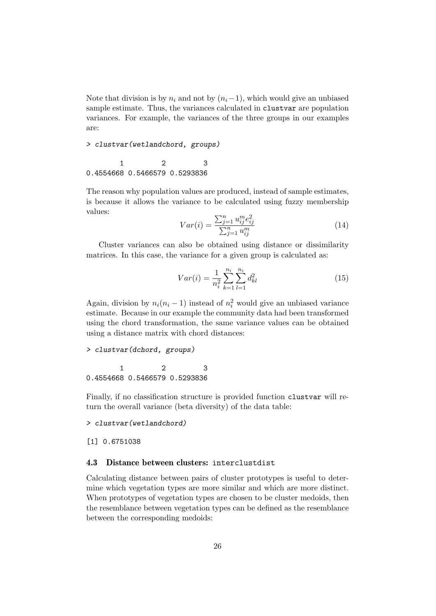Note that division is by  $n_i$  and not by  $(n_i-1)$ , which would give an unbiased sample estimate. Thus, the variances calculated in clustvar are population variances. For example, the variances of the three groups in our examples are:

> clustvar(wetlandchord, groups)

1 2 3 0.4554668 0.5466579 0.5293836

The reason why population values are produced, instead of sample estimates, is because it allows the variance to be calculated using fuzzy membership values:

$$
Var(i) = \frac{\sum_{j=1}^{n} u_{ij}^{m} e_{ij}^{2}}{\sum_{j=1}^{n} u_{ij}^{m}}
$$
\n(14)

Cluster variances can also be obtained using distance or dissimilarity matrices. In this case, the variance for a given group is calculated as:

$$
Var(i) = \frac{1}{n_i^2} \sum_{k=1}^{n_i} \sum_{l=1}^{n_i} d_{kl}^2
$$
 (15)

Again, division by  $n_i(n_i - 1)$  instead of  $n_i^2$  would give an unbiased variance estimate. Because in our example the community data had been transformed using the chord transformation, the same variance values can be obtained using a distance matrix with chord distances:

```
> clustvar(dchord, groups)
```
1 2 3 0.4554668 0.5466579 0.5293836

Finally, if no classification structure is provided function clustvar will return the overall variance (beta diversity) of the data table:

> clustvar(wetlandchord)

[1] 0.6751038

# 4.3 Distance between clusters: interclustdist

Calculating distance between pairs of cluster prototypes is useful to determine which vegetation types are more similar and which are more distinct. When prototypes of vegetation types are chosen to be cluster medoids, then the resemblance between vegetation types can be defined as the resemblance between the corresponding medoids: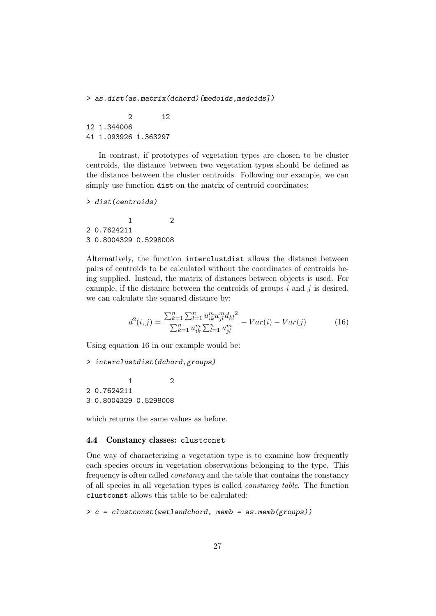> as.dist(as.matrix(dchord)[medoids,medoids])

2 12 12 1.344006 41 1.093926 1.363297

In contrast, if prototypes of vegetation types are chosen to be cluster centroids, the distance between two vegetation types should be defined as the distance between the cluster centroids. Following our example, we can simply use function dist on the matrix of centroid coordinates:

```
> dist(centroids)
```
1 2 2 0.7624211 3 0.8004329 0.5298008

Alternatively, the function interclustdist allows the distance between pairs of centroids to be calculated without the coordinates of centroids being supplied. Instead, the matrix of distances between objects is used. For example, if the distance between the centroids of groups  $i$  and  $j$  is desired, we can calculate the squared distance by:

$$
d^{2}(i,j) = \frac{\sum_{k=1}^{n} \sum_{l=1}^{n} u_{ik}^{m} u_{jl}^{m} d_{kl}^{2}}{\sum_{k=1}^{n} u_{ik}^{m} \sum_{l=1}^{n} u_{jl}^{m}} - Var(i) - Var(j)
$$
(16)

Using equation 16 in our example would be:

```
> interclustdist(dchord,groups)
```
1 2 2 0.7624211 3 0.8004329 0.5298008

which returns the same values as before.

# 4.4 Constancy classes: clustconst

One way of characterizing a vegetation type is to examine how frequently each species occurs in vegetation observations belonging to the type. This frequency is often called constancy and the table that contains the constancy of all species in all vegetation types is called constancy table. The function clustconst allows this table to be calculated:

```
> c = cluster const (wetlandchord, memb = as. memb (groups))
```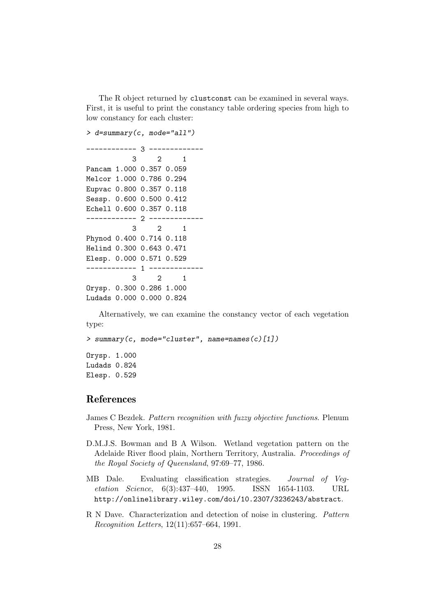The R object returned by clustconst can be examined in several ways. First, it is useful to print the constancy table ordering species from high to low constancy for each cluster:

```
> d=summary(c, mode="all")
------------ 3 -------------
          3 2 1
Pancam 1.000 0.357 0.059
Melcor 1.000 0.786 0.294
Eupvac 0.800 0.357 0.118
Sessp. 0.600 0.500 0.412
Echell 0.600 0.357 0.118
------------ 2 -------------
          3 2 1
Phynod 0.400 0.714 0.118
Helind 0.300 0.643 0.471
Elesp. 0.000 0.571 0.529
------------ 1 -------------
          3 2 1
Orysp. 0.300 0.286 1.000
Ludads 0.000 0.000 0.824
```
Alternatively, we can examine the constancy vector of each vegetation type:

```
> summary(c, mode="cluster", name=names(c)[1])
Orysp. 1.000
Ludads 0.824
```
Elesp. 0.529

# References

- James C Bezdek. Pattern recognition with fuzzy objective functions. Plenum Press, New York, 1981.
- D.M.J.S. Bowman and B A Wilson. Wetland vegetation pattern on the Adelaide River flood plain, Northern Territory, Australia. Proceedings of the Royal Society of Queensland, 97:69–77, 1986.
- MB Dale. Evaluating classification strategies. Journal of Vegetation Science, 6(3):437–440, 1995. ISSN 1654-1103. URL http://onlinelibrary.wiley.com/doi/10.2307/3236243/abstract.
- R N Dave. Characterization and detection of noise in clustering. Pattern Recognition Letters, 12(11):657–664, 1991.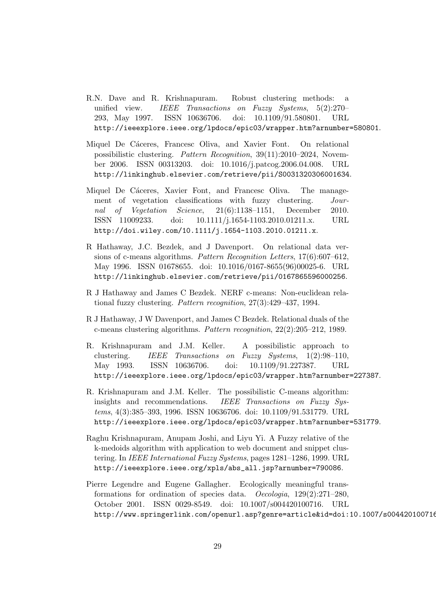- R.N. Dave and R. Krishnapuram. Robust clustering methods: a unified view. IEEE Transactions on Fuzzy Systems, 5(2):270– 293, May 1997. ISSN 10636706. doi: 10.1109/91.580801. URL http://ieeexplore.ieee.org/lpdocs/epic03/wrapper.htm?arnumber=580801.
- Miquel De Cáceres, Francesc Oliva, and Xavier Font. On relational possibilistic clustering. Pattern Recognition, 39(11):2010–2024, November 2006. ISSN 00313203. doi: 10.1016/j.patcog.2006.04.008. URL http://linkinghub.elsevier.com/retrieve/pii/S0031320306001634.
- Miquel De Cáceres, Xavier Font, and Francesc Oliva. The management of vegetation classifications with fuzzy clustering. Journal of Vegetation Science, 21(6):1138–1151, December 2010. ISSN 11009233. doi: 10.1111/j.1654-1103.2010.01211.x. URL http://doi.wiley.com/10.1111/j.1654-1103.2010.01211.x.
- R Hathaway, J.C. Bezdek, and J Davenport. On relational data versions of c-means algorithms. Pattern Recognition Letters, 17(6):607–612, May 1996. ISSN 01678655. doi: 10.1016/0167-8655(96)00025-6. URL http://linkinghub.elsevier.com/retrieve/pii/0167865596000256.
- R J Hathaway and James C Bezdek. NERF c-means: Non-euclidean relational fuzzy clustering. Pattern recognition, 27(3):429–437, 1994.
- R J Hathaway, J W Davenport, and James C Bezdek. Relational duals of the c-means clustering algorithms. Pattern recognition, 22(2):205–212, 1989.
- R. Krishnapuram and J.M. Keller. A possibilistic approach to clustering. IEEE Transactions on Fuzzy Systems, 1(2):98–110, May 1993. ISSN 10636706. doi: 10.1109/91.227387. URL http://ieeexplore.ieee.org/lpdocs/epic03/wrapper.htm?arnumber=227387.
- R. Krishnapuram and J.M. Keller. The possibilistic C-means algorithm: insights and recommendations. IEEE Transactions on Fuzzy Systems, 4(3):385–393, 1996. ISSN 10636706. doi: 10.1109/91.531779. URL http://ieeexplore.ieee.org/lpdocs/epic03/wrapper.htm?arnumber=531779.
- Raghu Krishnapuram, Anupam Joshi, and Liyu Yi. A Fuzzy relative of the k-medoids algorithm with application to web document and snippet clustering. In IEEE International Fuzzy Systems, pages 1281–1286, 1999. URL http://ieeexplore.ieee.org/xpls/abs\_all.jsp?arnumber=790086.
- Pierre Legendre and Eugene Gallagher. Ecologically meaningful transformations for ordination of species data. Oecologia, 129(2):271–280, October 2001. ISSN 0029-8549. doi: 10.1007/s004420100716. URL http://www.springerlink.com/openurl.asp?genre=article&id=doi:10.1007/s004420100716.